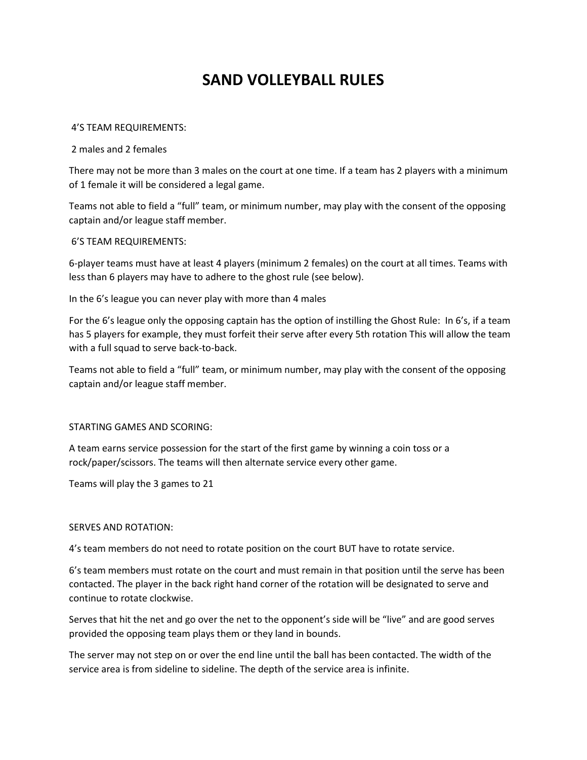# **SAND VOLLEYBALL RULES**

## 4'S TEAM REQUIREMENTS:

2 males and 2 females

There may not be more than 3 males on the court at one time. If a team has 2 players with a minimum of 1 female it will be considered a legal game.

Teams not able to field a "full" team, or minimum number, may play with the consent of the opposing captain and/or league staff member.

## 6'S TEAM REQUIREMENTS:

6-player teams must have at least 4 players (minimum 2 females) on the court at all times. Teams with less than 6 players may have to adhere to the ghost rule (see below).

In the 6's league you can never play with more than 4 males

For the 6's league only the opposing captain has the option of instilling the Ghost Rule: In 6's, if a team has 5 players for example, they must forfeit their serve after every 5th rotation This will allow the team with a full squad to serve back-to-back.

Teams not able to field a "full" team, or minimum number, may play with the consent of the opposing captain and/or league staff member.

# STARTING GAMES AND SCORING:

A team earns service possession for the start of the first game by winning a coin toss or a rock/paper/scissors. The teams will then alternate service every other game.

Teams will play the 3 games to 21

## SERVES AND ROTATION:

4's team members do not need to rotate position on the court BUT have to rotate service.

6's team members must rotate on the court and must remain in that position until the serve has been contacted. The player in the back right hand corner of the rotation will be designated to serve and continue to rotate clockwise.

Serves that hit the net and go over the net to the opponent's side will be "live" and are good serves provided the opposing team plays them or they land in bounds.

The server may not step on or over the end line until the ball has been contacted. The width of the service area is from sideline to sideline. The depth of the service area is infinite.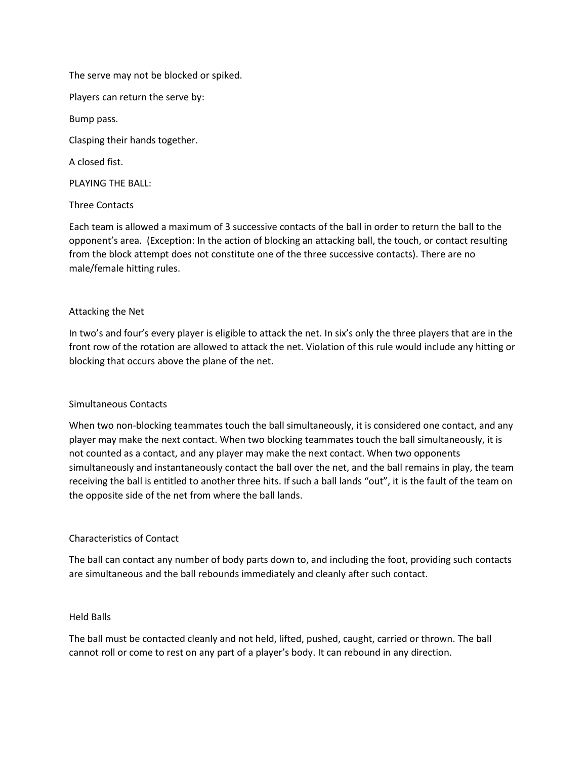The serve may not be blocked or spiked.

Players can return the serve by:

Bump pass.

Clasping their hands together.

A closed fist.

PLAYING THE BALL:

Three Contacts

Each team is allowed a maximum of 3 successive contacts of the ball in order to return the ball to the opponent's area. (Exception: In the action of blocking an attacking ball, the touch, or contact resulting from the block attempt does not constitute one of the three successive contacts). There are no male/female hitting rules.

# Attacking the Net

In two's and four's every player is eligible to attack the net. In six's only the three players that are in the front row of the rotation are allowed to attack the net. Violation of this rule would include any hitting or blocking that occurs above the plane of the net.

# Simultaneous Contacts

When two non-blocking teammates touch the ball simultaneously, it is considered one contact, and any player may make the next contact. When two blocking teammates touch the ball simultaneously, it is not counted as a contact, and any player may make the next contact. When two opponents simultaneously and instantaneously contact the ball over the net, and the ball remains in play, the team receiving the ball is entitled to another three hits. If such a ball lands "out", it is the fault of the team on the opposite side of the net from where the ball lands.

# Characteristics of Contact

The ball can contact any number of body parts down to, and including the foot, providing such contacts are simultaneous and the ball rebounds immediately and cleanly after such contact.

# Held Balls

The ball must be contacted cleanly and not held, lifted, pushed, caught, carried or thrown. The ball cannot roll or come to rest on any part of a player's body. It can rebound in any direction.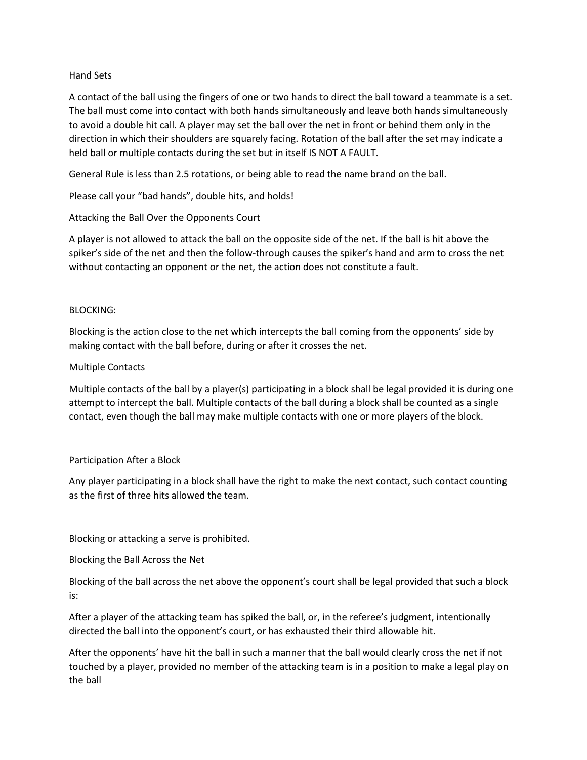# Hand Sets

A contact of the ball using the fingers of one or two hands to direct the ball toward a teammate is a set. The ball must come into contact with both hands simultaneously and leave both hands simultaneously to avoid a double hit call. A player may set the ball over the net in front or behind them only in the direction in which their shoulders are squarely facing. Rotation of the ball after the set may indicate a held ball or multiple contacts during the set but in itself IS NOT A FAULT.

General Rule is less than 2.5 rotations, or being able to read the name brand on the ball.

Please call your "bad hands", double hits, and holds!

Attacking the Ball Over the Opponents Court

A player is not allowed to attack the ball on the opposite side of the net. If the ball is hit above the spiker's side of the net and then the follow-through causes the spiker's hand and arm to cross the net without contacting an opponent or the net, the action does not constitute a fault.

## BLOCKING:

Blocking is the action close to the net which intercepts the ball coming from the opponents' side by making contact with the ball before, during or after it crosses the net.

## Multiple Contacts

Multiple contacts of the ball by a player(s) participating in a block shall be legal provided it is during one attempt to intercept the ball. Multiple contacts of the ball during a block shall be counted as a single contact, even though the ball may make multiple contacts with one or more players of the block.

## Participation After a Block

Any player participating in a block shall have the right to make the next contact, such contact counting as the first of three hits allowed the team.

Blocking or attacking a serve is prohibited.

Blocking the Ball Across the Net

Blocking of the ball across the net above the opponent's court shall be legal provided that such a block is:

After a player of the attacking team has spiked the ball, or, in the referee's judgment, intentionally directed the ball into the opponent's court, or has exhausted their third allowable hit.

After the opponents' have hit the ball in such a manner that the ball would clearly cross the net if not touched by a player, provided no member of the attacking team is in a position to make a legal play on the ball